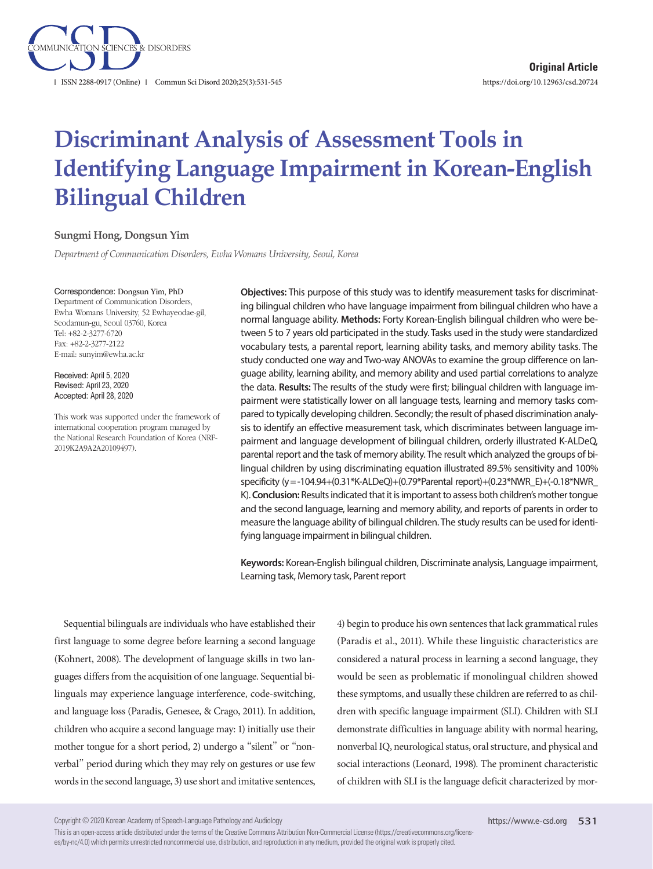

# **Discriminant Analysis of Assessment Tools in Identifying Language Impairment in Korean-English Bilingual Children**

#### **Sungmi Hong, Dongsun Yim**

*Department of Communication Disorders, Ewha Womans University, Seoul, Korea*

#### Correspondence: Dongsun Yim, PhD

Department of Communication Disorders, Ewha Womans University, 52 Ewhayeodae-gil, Seodamun-gu, Seoul 03760, Korea Tel: +82-2-3277-6720 Fax: +82-2-3277-2122 E-mail: sunyim@ewha.ac.kr

Received: April 5, 2020 Revised: April 23, 2020 Accepted: April 28, 2020

This work was supported under the framework of international cooperation program managed by the National Research Foundation of Korea (NRF-2019K2A9A2A20109497).

**Objectives:** This purpose of this study was to identify measurement tasks for discriminating bilingual children who have language impairment from bilingual children who have a normal language ability. **Methods:** Forty Korean-English bilingual children who were between 5 to 7 years old participated in the study. Tasks used in the study were standardized vocabulary tests, a parental report, learning ability tasks, and memory ability tasks. The study conducted one way and Two-way ANOVAs to examine the group difference on language ability, learning ability, and memory ability and used partial correlations to analyze the data. **Results:** The results of the study were first; bilingual children with language impairment were statistically lower on all language tests, learning and memory tasks compared to typically developing children. Secondly; the result of phased discrimination analysis to identify an effective measurement task, which discriminates between language impairment and language development of bilingual children, orderly illustrated K-ALDeQ, parental report and the task of memory ability. The result which analyzed the groups of bilingual children by using discriminating equation illustrated 89.5% sensitivity and 100% specificity (y= -104.94+(0.31\*K-ALDeQ)+(0.79\*Parental report)+(0.23\*NWR\_E)+(-0.18\*NWR\_ K). **Conclusion:** Results indicated that it is important to assess both children's mother tongue and the second language, learning and memory ability, and reports of parents in order to measure the language ability of bilingual children. The study results can be used for identifying language impairment in bilingual children.

**Keywords:** Korean-English bilingual children, Discriminate analysis, Language impairment, Learning task, Memory task, Parent report

Sequential bilinguals are individuals who have established their first language to some degree before learning a second language (Kohnert, 2008). The development of language skills in two languages differs from the acquisition of one language. Sequential bilinguals may experience language interference, code-switching, and language loss (Paradis, Genesee, & Crago, 2011). In addition, children who acquire a second language may: 1) initially use their mother tongue for a short period, 2) undergo a "silent" or "nonverbal" period during which they may rely on gestures or use few words in the second language, 3) use short and imitative sentences, 4) begin to produce his own sentences that lack grammatical rules (Paradis et al., 2011). While these linguistic characteristics are considered a natural process in learning a second language, they would be seen as problematic if monolingual children showed these symptoms, and usually these children are referred to as children with specific language impairment (SLI). Children with SLI demonstrate difficulties in language ability with normal hearing, nonverbal IQ, neurological status, oral structure, and physical and social interactions (Leonard, 1998). The prominent characteristic of children with SLI is the language deficit characterized by mor-

Copyright © 2020 Korean Academy of Speech-Language Pathology and Audiology

This is an open-access article distributed under the terms of the Creative Commons Attribution Non-Commercial License (https://creativecommons.org/licenses/by-nc/4.0) which permits unrestricted noncommercial use, distribution, and reproduction in any medium, provided the original work is properly cited.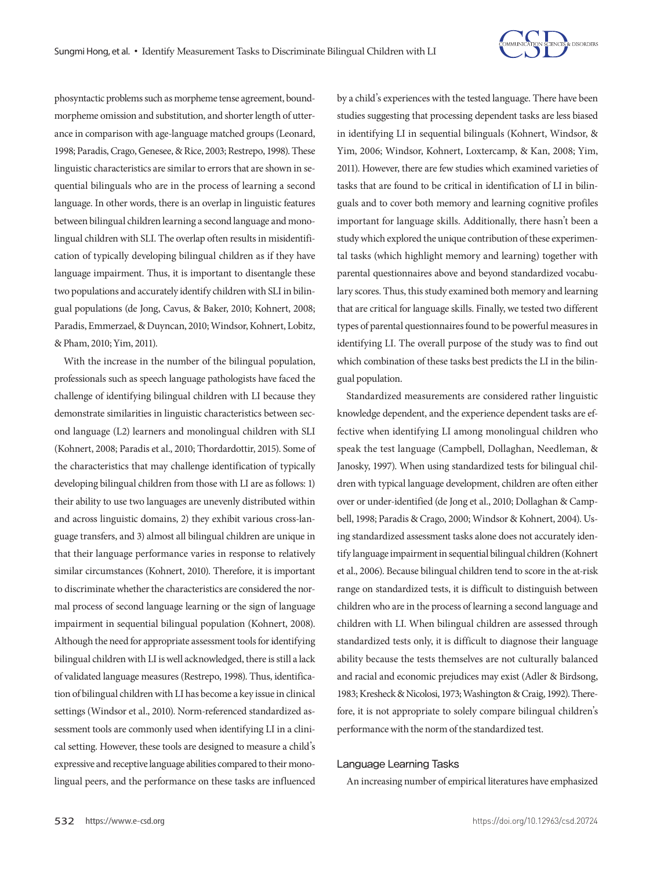

phosyntactic problems such as morpheme tense agreement, boundmorpheme omission and substitution, and shorter length of utterance in comparison with age-language matched groups (Leonard, 1998; Paradis, Crago, Genesee, & Rice, 2003; Restrepo, 1998). These linguistic characteristics are similar to errors that are shown in sequential bilinguals who are in the process of learning a second language. In other words, there is an overlap in linguistic features between bilingual children learning a second language and monolingual children with SLI. The overlap often results in misidentification of typically developing bilingual children as if they have language impairment. Thus, it is important to disentangle these two populations and accurately identify children with SLI in bilingual populations (de Jong, Cavus, & Baker, 2010; Kohnert, 2008; Paradis, Emmerzael, & Duyncan, 2010; Windsor, Kohnert, Lobitz, & Pham, 2010; Yim, 2011).

With the increase in the number of the bilingual population, professionals such as speech language pathologists have faced the challenge of identifying bilingual children with LI because they demonstrate similarities in linguistic characteristics between second language (L2) learners and monolingual children with SLI (Kohnert, 2008; Paradis et al., 2010; Thordardottir, 2015). Some of the characteristics that may challenge identification of typically developing bilingual children from those with LI are as follows: 1) their ability to use two languages are unevenly distributed within and across linguistic domains, 2) they exhibit various cross-language transfers, and 3) almost all bilingual children are unique in that their language performance varies in response to relatively similar circumstances (Kohnert, 2010). Therefore, it is important to discriminate whether the characteristics are considered the normal process of second language learning or the sign of language impairment in sequential bilingual population (Kohnert, 2008). Although the need for appropriate assessment tools for identifying bilingual children with LI is well acknowledged, there is still a lack of validated language measures (Restrepo, 1998). Thus, identification of bilingual children with LI has become a key issue in clinical settings (Windsor et al., 2010). Norm-referenced standardized assessment tools are commonly used when identifying LI in a clinical setting. However, these tools are designed to measure a child's expressive and receptive language abilities compared to their monolingual peers, and the performance on these tasks are influenced

by a child's experiences with the tested language. There have been studies suggesting that processing dependent tasks are less biased in identifying LI in sequential bilinguals (Kohnert, Windsor, & Yim, 2006; Windsor, Kohnert, Loxtercamp, & Kan, 2008; Yim, 2011). However, there are few studies which examined varieties of tasks that are found to be critical in identification of LI in bilinguals and to cover both memory and learning cognitive profiles important for language skills. Additionally, there hasn't been a study which explored the unique contribution of these experimental tasks (which highlight memory and learning) together with parental questionnaires above and beyond standardized vocabulary scores. Thus, this study examined both memory and learning that are critical for language skills. Finally, we tested two different types of parental questionnaires found to be powerful measures in identifying LI. The overall purpose of the study was to find out which combination of these tasks best predicts the LI in the bilingual population.

Standardized measurements are considered rather linguistic knowledge dependent, and the experience dependent tasks are effective when identifying LI among monolingual children who speak the test language (Campbell, Dollaghan, Needleman, & Janosky, 1997). When using standardized tests for bilingual children with typical language development, children are often either over or under-identified (de Jong et al., 2010; Dollaghan & Campbell, 1998; Paradis & Crago, 2000; Windsor & Kohnert, 2004). Using standardized assessment tasks alone does not accurately identify language impairment in sequential bilingual children (Kohnert et al., 2006). Because bilingual children tend to score in the at-risk range on standardized tests, it is difficult to distinguish between children who are in the process of learning a second language and children with LI. When bilingual children are assessed through standardized tests only, it is difficult to diagnose their language ability because the tests themselves are not culturally balanced and racial and economic prejudices may exist (Adler & Birdsong, 1983; Kresheck & Nicolosi, 1973; Washington & Craig, 1992). Therefore, it is not appropriate to solely compare bilingual children's performance with the norm of the standardized test.

#### Language Learning Tasks

An increasing number of empirical literatures have emphasized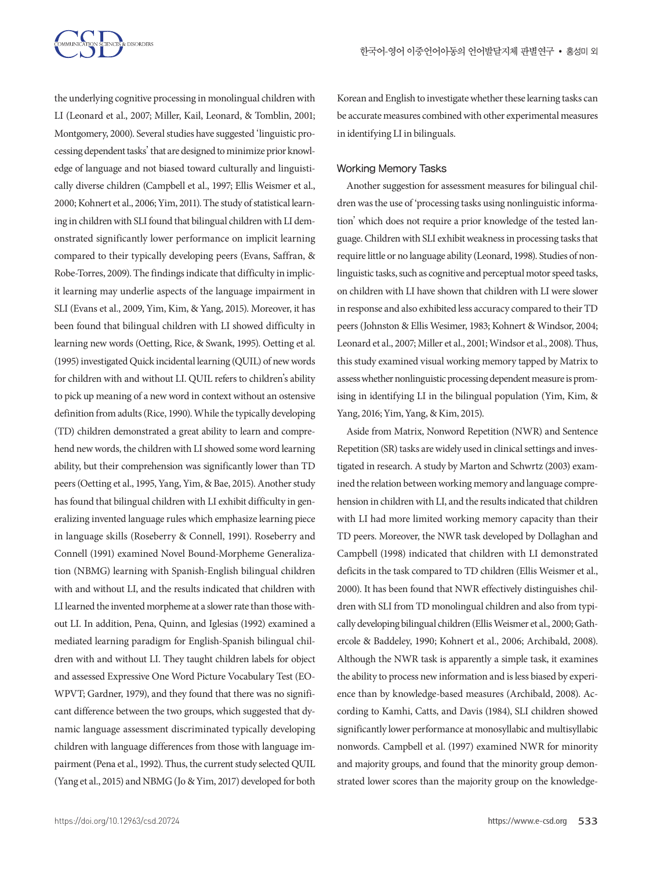

the underlying cognitive processing in monolingual children with LI (Leonard et al., 2007; Miller, Kail, Leonard, & Tomblin, 2001; Montgomery, 2000). Several studies have suggested 'linguistic processing dependent tasks' that are designed to minimize prior knowledge of language and not biased toward culturally and linguistically diverse children (Campbell et al., 1997; Ellis Weismer et al., 2000; Kohnert et al., 2006; Yim, 2011). The study of statistical learning in children with SLI found that bilingual children with LI demonstrated significantly lower performance on implicit learning compared to their typically developing peers (Evans, Saffran, & Robe-Torres, 2009). The findings indicate that difficulty in implicit learning may underlie aspects of the language impairment in SLI (Evans et al., 2009, Yim, Kim, & Yang, 2015). Moreover, it has been found that bilingual children with LI showed difficulty in learning new words (Oetting, Rice, & Swank, 1995). Oetting et al. (1995) investigated Quick incidental learning (QUIL) of new words for children with and without LI. QUIL refers to children's ability to pick up meaning of a new word in context without an ostensive definition from adults (Rice, 1990). While the typically developing (TD) children demonstrated a great ability to learn and comprehend new words, the children with LI showed some word learning ability, but their comprehension was significantly lower than TD peers (Oetting et al., 1995, Yang, Yim, & Bae, 2015). Another study has found that bilingual children with LI exhibit difficulty in generalizing invented language rules which emphasize learning piece in language skills (Roseberry & Connell, 1991). Roseberry and Connell (1991) examined Novel Bound-Morpheme Generalization (NBMG) learning with Spanish-English bilingual children with and without LI, and the results indicated that children with LI learned the invented morpheme at a slower rate than those without LI. In addition, Pena, Quinn, and Iglesias (1992) examined a mediated learning paradigm for English-Spanish bilingual children with and without LI. They taught children labels for object and assessed Expressive One Word Picture Vocabulary Test (EO-WPVT; Gardner, 1979), and they found that there was no significant difference between the two groups, which suggested that dynamic language assessment discriminated typically developing children with language differences from those with language impairment (Pena et al., 1992). Thus, the current study selected QUIL (Yang et al., 2015) and NBMG (Jo & Yim, 2017) developed for both

Korean and English to investigate whether these learning tasks can be accurate measures combined with other experimental measures in identifying LI in bilinguals.

#### Working Memory Tasks

Another suggestion for assessment measures for bilingual children was the use of 'processing tasks using nonlinguistic information' which does not require a prior knowledge of the tested language. Children with SLI exhibit weakness in processing tasks that require little or no language ability (Leonard, 1998). Studies of nonlinguistic tasks, such as cognitive and perceptual motor speed tasks, on children with LI have shown that children with LI were slower in response and also exhibited less accuracy compared to their TD peers (Johnston & Ellis Wesimer, 1983; Kohnert & Windsor, 2004; Leonard et al., 2007; Miller et al., 2001; Windsor et al., 2008). Thus, this study examined visual working memory tapped by Matrix to assess whether nonlinguistic processing dependent measure is promising in identifying LI in the bilingual population (Yim, Kim, & Yang, 2016; Yim, Yang, & Kim, 2015).

Aside from Matrix, Nonword Repetition (NWR) and Sentence Repetition (SR) tasks are widely used in clinical settings and investigated in research. A study by Marton and Schwrtz (2003) examined the relation between working memory and language comprehension in children with LI, and the results indicated that children with LI had more limited working memory capacity than their TD peers. Moreover, the NWR task developed by Dollaghan and Campbell (1998) indicated that children with LI demonstrated deficits in the task compared to TD children (Ellis Weismer et al., 2000). It has been found that NWR effectively distinguishes children with SLI from TD monolingual children and also from typically developing bilingual children (Ellis Weismer et al., 2000; Gathercole & Baddeley, 1990; Kohnert et al., 2006; Archibald, 2008). Although the NWR task is apparently a simple task, it examines the ability to process new information and is less biased by experience than by knowledge-based measures (Archibald, 2008). According to Kamhi, Catts, and Davis (1984), SLI children showed significantly lower performance at monosyllabic and multisyllabic nonwords. Campbell et al. (1997) examined NWR for minority and majority groups, and found that the minority group demonstrated lower scores than the majority group on the knowledge-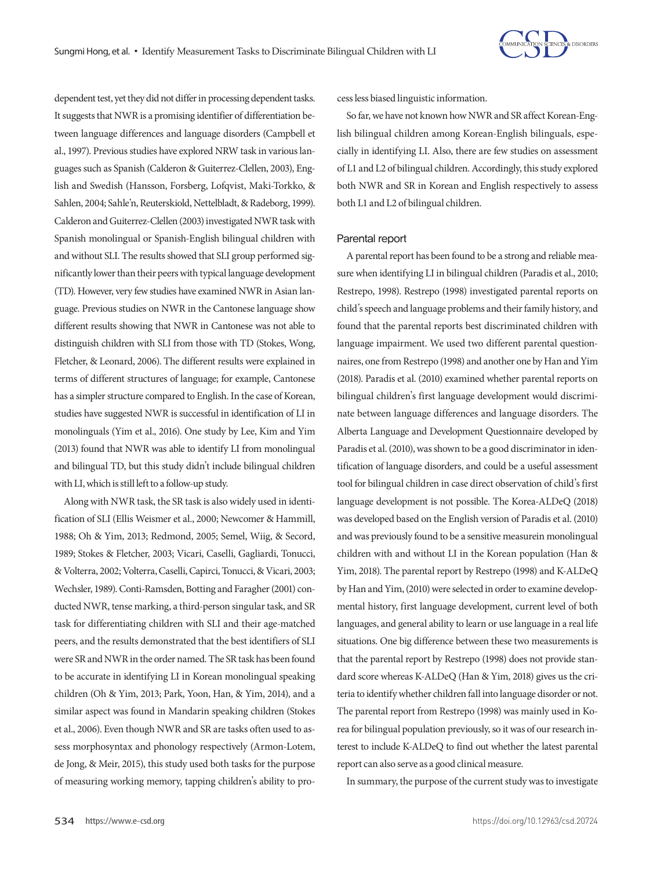

dependent test, yet they did not differ in processing dependent tasks. It suggests that NWR is a promising identifier of differentiation between language differences and language disorders (Campbell et al., 1997). Previous studies have explored NRW task in various languages such as Spanish (Calderon & Guiterrez-Clellen, 2003), English and Swedish (Hansson, Forsberg, Lofqvist, Maki-Torkko, & Sahlen, 2004; Sahle'n, Reuterskiold, Nettelbladt, & Radeborg, 1999). Calderon and Guiterrez-Clellen (2003) investigated NWR task with Spanish monolingual or Spanish-English bilingual children with and without SLI. The results showed that SLI group performed significantly lower than their peers with typical language development (TD). However, very few studies have examined NWR in Asian language. Previous studies on NWR in the Cantonese language show different results showing that NWR in Cantonese was not able to distinguish children with SLI from those with TD (Stokes, Wong, Fletcher, & Leonard, 2006). The different results were explained in terms of different structures of language; for example, Cantonese has a simpler structure compared to English. In the case of Korean, studies have suggested NWR is successful in identification of LI in monolinguals (Yim et al., 2016). One study by Lee, Kim and Yim (2013) found that NWR was able to identify LI from monolingual and bilingual TD, but this study didn't include bilingual children with LI, which is still left to a follow-up study.

Along with NWR task, the SR task is also widely used in identification of SLI (Ellis Weismer et al., 2000; Newcomer & Hammill, 1988; Oh & Yim, 2013; Redmond, 2005; Semel, Wiig, & Secord, 1989; Stokes & Fletcher, 2003; Vicari, Caselli, Gagliardi, Tonucci, & Volterra, 2002; Volterra, Caselli, Capirci, Tonucci, & Vicari, 2003; Wechsler, 1989). Conti-Ramsden, Botting and Faragher (2001) conducted NWR, tense marking, a third-person singular task, and SR task for differentiating children with SLI and their age-matched peers, and the results demonstrated that the best identifiers of SLI were SR and NWR in the order named. The SR task has been found to be accurate in identifying LI in Korean monolingual speaking children (Oh & Yim, 2013; Park, Yoon, Han, & Yim, 2014), and a similar aspect was found in Mandarin speaking children (Stokes et al., 2006). Even though NWR and SR are tasks often used to assess morphosyntax and phonology respectively (Armon-Lotem, de Jong, & Meir, 2015), this study used both tasks for the purpose of measuring working memory, tapping children's ability to process less biased linguistic information.

So far, we have not known how NWR and SR affect Korean-English bilingual children among Korean-English bilinguals, especially in identifying LI. Also, there are few studies on assessment of L1 and L2 of bilingual children. Accordingly, this study explored both NWR and SR in Korean and English respectively to assess both L1 and L2 of bilingual children.

#### Parental report

A parental report has been found to be a strong and reliable measure when identifying LI in bilingual children (Paradis et al., 2010; Restrepo, 1998). Restrepo (1998) investigated parental reports on child's speech and language problems and their family history, and found that the parental reports best discriminated children with language impairment. We used two different parental questionnaires, one from Restrepo (1998) and another one by Han and Yim (2018). Paradis et al. (2010) examined whether parental reports on bilingual children's first language development would discriminate between language differences and language disorders. The Alberta Language and Development Questionnaire developed by Paradis et al. (2010), was shown to be a good discriminator in identification of language disorders, and could be a useful assessment tool for bilingual children in case direct observation of child's first language development is not possible. The Korea-ALDeQ (2018) was developed based on the English version of Paradis et al. (2010) and was previously found to be a sensitive measurein monolingual children with and without LI in the Korean population (Han & Yim, 2018). The parental report by Restrepo (1998) and K-ALDeQ by Han and Yim, (2010) were selected in order to examine developmental history, first language development, current level of both languages, and general ability to learn or use language in a real life situations. One big difference between these two measurements is that the parental report by Restrepo (1998) does not provide standard score whereas K-ALDeQ (Han & Yim, 2018) gives us the criteria to identify whether children fall into language disorder or not. The parental report from Restrepo (1998) was mainly used in Korea for bilingual population previously, so it was of our research interest to include K-ALDeQ to find out whether the latest parental report can also serve as a good clinical measure.

In summary, the purpose of the current study was to investigate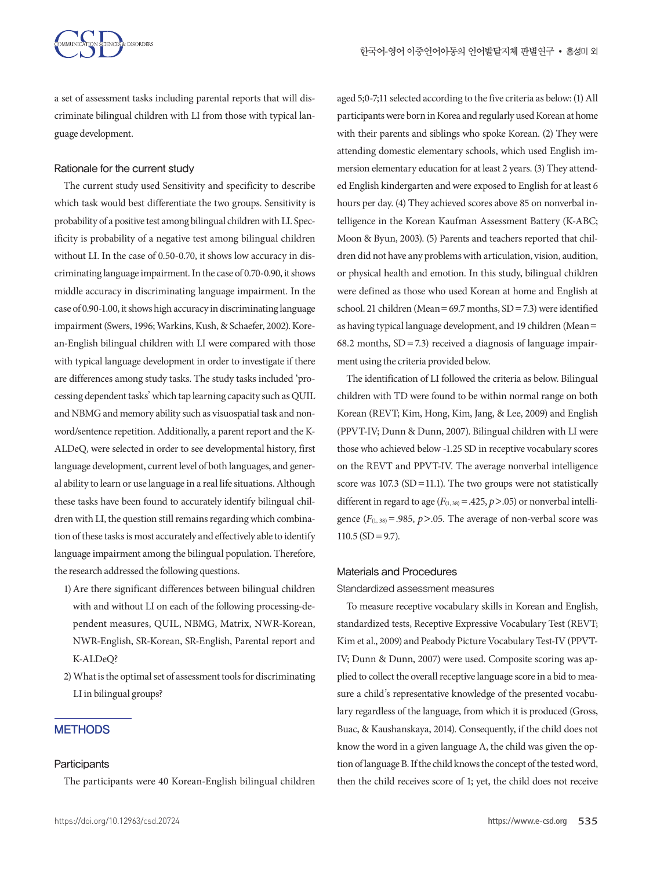a set of assessment tasks including parental reports that will discriminate bilingual children with LI from those with typical language development.

#### Rationale for the current study

The current study used Sensitivity and specificity to describe which task would best differentiate the two groups. Sensitivity is probability of a positive test among bilingual children with LI. Specificity is probability of a negative test among bilingual children without LI. In the case of 0.50-0.70, it shows low accuracy in discriminating language impairment. In the case of 0.70-0.90, it shows middle accuracy in discriminating language impairment. In the case of 0.90-1.00, it shows high accuracy in discriminating language impairment (Swers, 1996; Warkins, Kush, & Schaefer, 2002). Korean-English bilingual children with LI were compared with those with typical language development in order to investigate if there are differences among study tasks. The study tasks included 'processing dependent tasks' which tap learning capacity such as QUIL and NBMG and memory ability such as visuospatial task and nonword/sentence repetition. Additionally, a parent report and the K-ALDeQ, were selected in order to see developmental history, first language development, current level of both languages, and general ability to learn or use language in a real life situations. Although these tasks have been found to accurately identify bilingual children with LI, the question still remains regarding which combination of these tasks is most accurately and effectively able to identify language impairment among the bilingual population. Therefore, the research addressed the following questions.

- 1) Are there significant differences between bilingual children with and without LI on each of the following processing-dependent measures, QUIL, NBMG, Matrix, NWR-Korean, NWR-English, SR-Korean, SR-English, Parental report and K-ALDeQ?
- 2) What is the optimal set of assessment tools for discriminating LI in bilingual groups?

## **METHODS**

#### **Participants**

The participants were 40 Korean-English bilingual children

aged 5;0-7;11 selected according to the five criteria as below: (1) All participants were born in Korea and regularly used Korean at home with their parents and siblings who spoke Korean. (2) They were attending domestic elementary schools, which used English immersion elementary education for at least 2 years. (3) They attended English kindergarten and were exposed to English for at least 6 hours per day. (4) They achieved scores above 85 on nonverbal intelligence in the Korean Kaufman Assessment Battery (K-ABC; Moon & Byun, 2003). (5) Parents and teachers reported that children did not have any problems with articulation, vision, audition, or physical health and emotion. In this study, bilingual children were defined as those who used Korean at home and English at school. 21 children (Mean=69.7 months, SD=7.3) were identified as having typical language development, and 19 children (Mean= 68.2 months,  $SD = 7.3$ ) received a diagnosis of language impairment using the criteria provided below.

The identification of LI followed the criteria as below. Bilingual children with TD were found to be within normal range on both Korean (REVT; Kim, Hong, Kim, Jang, & Lee, 2009) and English (PPVT-IV; Dunn & Dunn, 2007). Bilingual children with LI were those who achieved below -1.25 SD in receptive vocabulary scores on the REVT and PPVT-IV. The average nonverbal intelligence score was  $107.3$  (SD = 11.1). The two groups were not statistically different in regard to age  $(F_{(1,38)} = .425, p > .05)$  or nonverbal intelligence  $(F_{(1, 38)} = .985, p > .05$ . The average of non-verbal score was  $110.5$  (SD = 9.7).

#### Materials and Procedures

Standardized assessment measures

To measure receptive vocabulary skills in Korean and English, standardized tests, Receptive Expressive Vocabulary Test (REVT; Kim et al., 2009) and Peabody Picture Vocabulary Test-IV (PPVT-IV; Dunn & Dunn, 2007) were used. Composite scoring was applied to collect the overall receptive language score in a bid to measure a child's representative knowledge of the presented vocabulary regardless of the language, from which it is produced (Gross, Buac, & Kaushanskaya, 2014). Consequently, if the child does not know the word in a given language A, the child was given the option of language B. If the child knows the concept of the tested word, then the child receives score of 1; yet, the child does not receive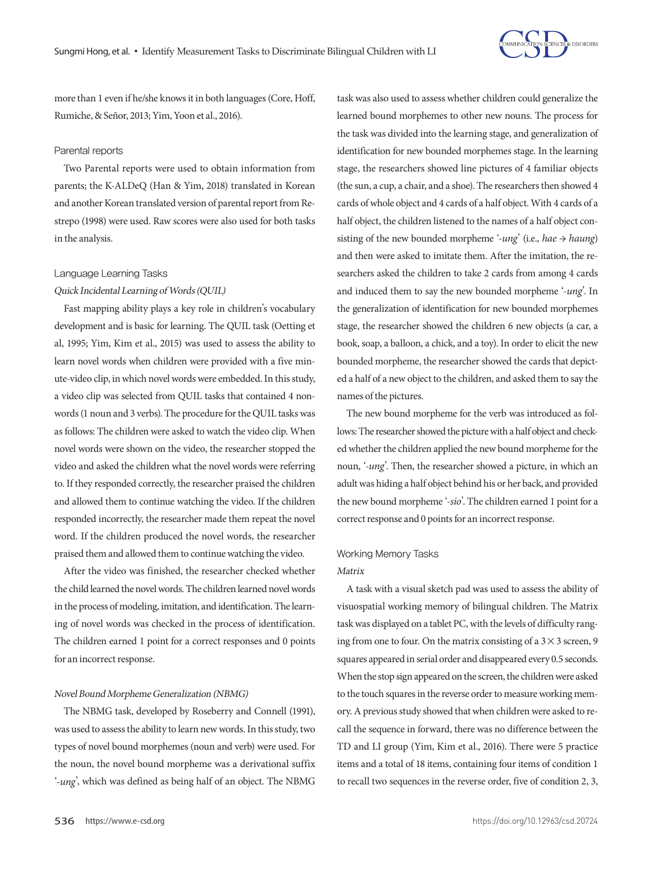

more than 1 even if he/she knows it in both languages (Core, Hoff, Rumiche, & Señor, 2013; Yim, Yoon et al., 2016).

#### Parental reports

Two Parental reports were used to obtain information from parents; the K-ALDeQ (Han & Yim, 2018) translated in Korean and another Korean translated version of parental report from Restrepo (1998) were used. Raw scores were also used for both tasks in the analysis.

#### Language Learning Tasks

#### Quick Incidental Learning of Words (QUIL)

Fast mapping ability plays a key role in children's vocabulary development and is basic for learning. The QUIL task (Oetting et al, 1995; Yim, Kim et al., 2015) was used to assess the ability to learn novel words when children were provided with a five minute-video clip, in which novel words were embedded. In this study, a video clip was selected from QUIL tasks that contained 4 nonwords (1 noun and 3 verbs). The procedure for the QUIL tasks was as follows: The children were asked to watch the video clip. When novel words were shown on the video, the researcher stopped the video and asked the children what the novel words were referring to. If they responded correctly, the researcher praised the children and allowed them to continue watching the video. If the children responded incorrectly, the researcher made them repeat the novel word. If the children produced the novel words, the researcher praised them and allowed them to continue watching the video.

After the video was finished, the researcher checked whether the child learned the novel words. The children learned novel words in the process of modeling, imitation, and identification. The learning of novel words was checked in the process of identification. The children earned 1 point for a correct responses and 0 points for an incorrect response.

#### Novel Bound Morpheme Generalization (NBMG)

The NBMG task, developed by Roseberry and Connell (1991), was used to assess the ability to learn new words. In this study, two types of novel bound morphemes (noun and verb) were used. For the noun, the novel bound morpheme was a derivational suffix '*-ung*', which was defined as being half of an object. The NBMG

task was also used to assess whether children could generalize the learned bound morphemes to other new nouns. The process for the task was divided into the learning stage, and generalization of identification for new bounded morphemes stage. In the learning stage, the researchers showed line pictures of 4 familiar objects (the sun, a cup, a chair, and a shoe). The researchers then showed 4 cards of whole object and 4 cards of a half object. With 4 cards of a half object, the children listened to the names of a half object consisting of the new bounded morpheme '*-ung*' (i.e., *hae* → *haung*) and then were asked to imitate them. After the imitation, the researchers asked the children to take 2 cards from among 4 cards and induced them to say the new bounded morpheme '-*ung*'. In the generalization of identification for new bounded morphemes stage, the researcher showed the children 6 new objects (a car, a book, soap, a balloon, a chick, and a toy). In order to elicit the new bounded morpheme, the researcher showed the cards that depicted a half of a new object to the children, and asked them to say the names of the pictures.

The new bound morpheme for the verb was introduced as follows: The researcher showed the picture with a half object and checked whether the children applied the new bound morpheme for the noun, '-*ung*'. Then, the researcher showed a picture, in which an adult was hiding a half object behind his or her back, and provided the new bound morpheme '-*sio*'. The children earned 1 point for a correct response and 0 points for an incorrect response.

# Working Memory Tasks

#### Matrix

A task with a visual sketch pad was used to assess the ability of visuospatial working memory of bilingual children. The Matrix task was displayed on a tablet PC, with the levels of difficulty ranging from one to four. On the matrix consisting of a  $3 \times 3$  screen, 9 squares appeared in serial order and disappeared every 0.5 seconds. When the stop sign appeared on the screen, the children were asked to the touch squares in the reverse order to measure working memory. A previous study showed that when children were asked to recall the sequence in forward, there was no difference between the TD and LI group (Yim, Kim et al., 2016). There were 5 practice items and a total of 18 items, containing four items of condition 1 to recall two sequences in the reverse order, five of condition 2, 3,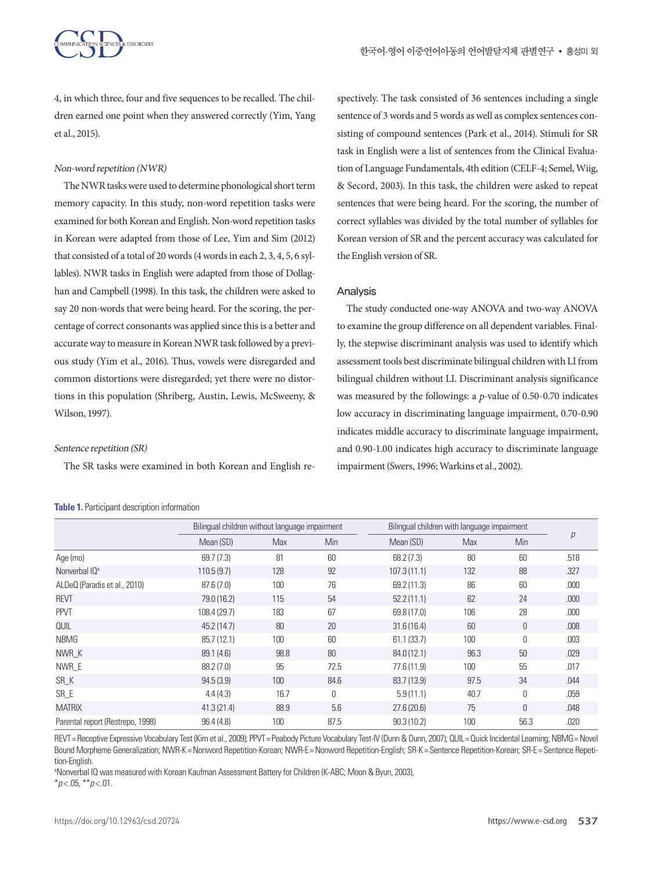

4, in which three, four and five sequences to be recalled. The children earned one point when they answered correctly (Yim, Yang et al., 2015).

#### Non-word repetition (NWR)

The NWR tasks were used to determine phonological short term memory capacity. In this study, non-word repetition tasks were examined for both Korean and English. Non-word repetition tasks in Korean were adapted from those of Lee, Yim and Sim (2012) that consisted of a total of 20 words (4 words in each 2, 3, 4, 5, 6 syllables). NWR tasks in English were adapted from those of Dollaghan and Campbell (1998). In this task, the children were asked to say 20 non-words that were being heard. For the scoring, the percentage of correct consonants was applied since this is a better and accurate way to measure in Korean NWR task followed by a previous study (Yim et al., 2016). Thus, vowels were disregarded and common distortions were disregarded; yet there were no distortions in this population (Shriberg, Austin, Lewis, McSweeny, & Wilson, 1997).

#### Sentence repetition (SR)

The SR tasks were examined in both Korean and English re-

#### **Table 1.** Participant description information

spectively. The task consisted of 36 sentences including a single sentence of 3 words and 5 words as well as complex sentences consisting of compound sentences (Park et al., 2014). Stimuli for SR task in English were a list of sentences from the Clinical Evaluation of Language Fundamentals, 4th edition (CELF-4; Semel, Wiig, & Secord, 2003). In this task, the children were asked to repeat sentences that were being heard. For the scoring, the number of correct syllables was divided by the total number of syllables for Korean version of SR and the percent accuracy was calculated for the English version of SR.

#### Analysis

The study conducted one-way ANOVA and two-way ANOVA to examine the group difference on all dependent variables. Finally, the stepwise discriminant analysis was used to identify which assessment tools best discriminate bilingual children with LI from bilingual children without LI. Discriminant analysis significance was measured by the followings: a *p*-value of 0.50-0.70 indicates low accuracy in discriminating language impairment, 0.70-0.90 indicates middle accuracy to discriminate language impairment, and 0.90-1.00 indicates high accuracy to discriminate language impairment (Swers, 1996; Warkins et al., 2002).

|                                  | Bilingual children without language impairment |      | Bilingual children with language impairment |             |            |      |      |
|----------------------------------|------------------------------------------------|------|---------------------------------------------|-------------|------------|------|------|
|                                  | Mean (SD)                                      | Max  | Min                                         | Mean (SD)   | <b>Max</b> | Min  | р    |
| Age (mo)                         | 69.7(7.3)                                      | 81   | 60                                          | 68.2 (7.3)  | 80         | 60   | .518 |
| Nonverbal IQ <sup>a</sup>        | 110.5(9.7)                                     | 128  | 92                                          | 107.3(11.1) | 132        | 88   | .327 |
| ALDeQ (Paradis et al., 2010)     | 87.6(7.0)                                      | 100  | 76                                          | 69.2 (11.3) | 86         | 60   | .000 |
| <b>REVT</b>                      | 79.0 (16.2)                                    | 115  | 54                                          | 52.2(11.1)  | 62         | 24   | .000 |
| <b>PPVT</b>                      | 108.4 (29.7)                                   | 183  | 67                                          | 69.8 (17.0) | 106        | 28   | .000 |
| <b>QUIL</b>                      | 45.2 (14.7)                                    | 80   | 20                                          | 31.6(16.4)  | 60         | 0    | .008 |
| <b>NBMG</b>                      | 85.7 (12.1)                                    | 100  | 60                                          | 61.1 (33.7) | 100        | 0    | .003 |
| NWR K                            | 89.1 (4.6)                                     | 98.8 | 80                                          | 84.0 (12.1) | 96.3       | 50   | .029 |
| NWR E                            | 88.2 (7.0)                                     | 95   | 72.5                                        | 77.6 (11.9) | 100        | 55   | .017 |
| SR_K                             | 94.5(3.9)                                      | 100  | 84.6                                        | 83.7 (13.9) | 97.5       | 34   | .044 |
| SR E                             | 4.4(4.3)                                       | 16.7 | 0                                           | 5.9(11.1)   | 40.7       | 0    | .059 |
| <b>MATRIX</b>                    | 41.3(21.4)                                     | 88.9 | 5.6                                         | 27.6(20.6)  | 75         | 0    | .048 |
| Parental report (Restrepo, 1998) | 96.4(4.8)                                      | 100  | 87.5                                        | 90.3(10.2)  | 100        | 56.3 | .020 |

REVT= Receptive Expressive Vocabulary Test (Kim et al., 2009); PPVT= Peabody Picture Vocabulary Test-IV (Dunn & Dunn, 2007); QUIL= Quick Incidental Learning; NBMG= Novel Bound Morpheme Generalization; NWR-K= Nonword Repetition-Korean; NWR-E= Nonword Repetition-English; SR-K= Sentence Repetition-Korean; SR-E= Sentence Repetition-English.

a Nonverbal IQ was measured with Korean Kaufman Assessment Battery for Children (K-ABC; Moon & Byun, 2003),

\**p* < .05, \*\**p* < .01.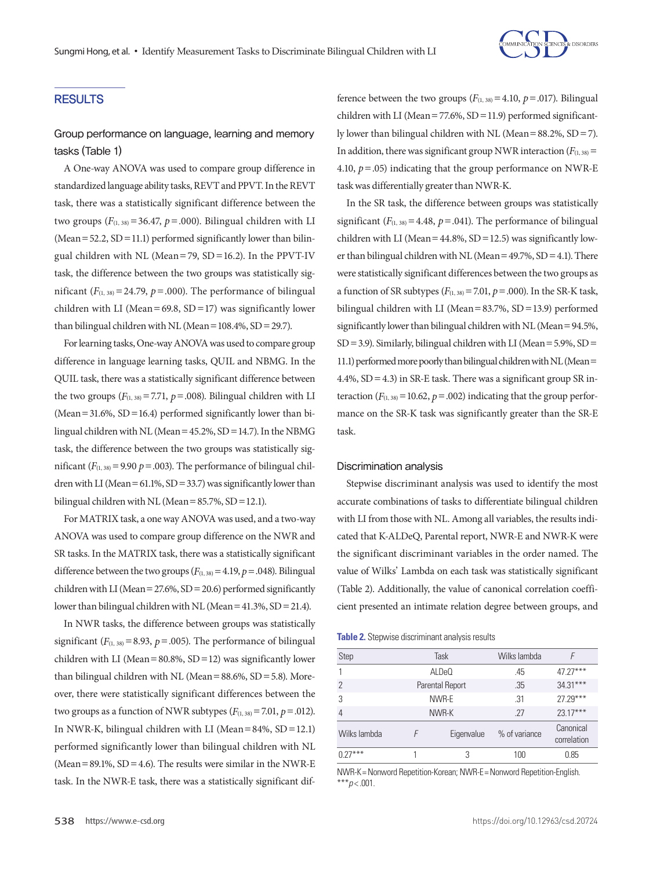

#### RESULTS

## Group performance on language, learning and memory tasks (Table 1)

A One-way ANOVA was used to compare group difference in standardized language ability tasks, REVT and PPVT. In the REVT task, there was a statistically significant difference between the two groups  $(F_{(1, 38)} = 36.47, p = .000)$ . Bilingual children with LI (Mean =  $52.2$ , SD = 11.1) performed significantly lower than bilingual children with NL (Mean=79, SD=16.2). In the PPVT-IV task, the difference between the two groups was statistically significant  $(F_{(1, 38)} = 24.79, p = .000)$ . The performance of bilingual children with LI (Mean=69.8,  $SD = 17$ ) was significantly lower than bilingual children with NL (Mean =  $108.4\%$ , SD = 29.7).

For learning tasks, One-way ANOVA was used to compare group difference in language learning tasks, QUIL and NBMG. In the QUIL task, there was a statistically significant difference between the two groups  $(F_{(1,38)}=7.71, p=.008)$ . Bilingual children with LI (Mean=31.6%,  $SD = 16.4$ ) performed significantly lower than bilingual children with NL (Mean=45.2%, SD=14.7). In the NBMG task, the difference between the two groups was statistically significant  $(F_{(1,38)}=9.90 \ p = .003)$ . The performance of bilingual children with LI (Mean =  $61.1\%$ , SD = 33.7) was significantly lower than bilingual children with NL (Mean =  $85.7\%$ , SD = 12.1).

For MATRIX task, a one way ANOVA was used, and a two-way ANOVA was used to compare group difference on the NWR and SR tasks. In the MATRIX task, there was a statistically significant difference between the two groups  $(F_{(1,38)}=4.19, p=.048)$ . Bilingual children with LI (Mean=27.6%, SD=20.6) performed significantly lower than bilingual children with NL (Mean = 41.3%, SD = 21.4).

In NWR tasks, the difference between groups was statistically significant  $(F_{(1, 38)}=8.93, p=.005)$ . The performance of bilingual children with LI (Mean=80.8%,  $SD = 12$ ) was significantly lower than bilingual children with NL (Mean= $88.6\%$ , SD= $5.8$ ). Moreover, there were statistically significant differences between the two groups as a function of NWR subtypes  $(F_{(1,38)} = 7.01, p = .012)$ . In NWR-K, bilingual children with LI (Mean=84%,  $SD = 12.1$ ) performed significantly lower than bilingual children with NL (Mean =  $89.1\%$ , SD =  $4.6$ ). The results were similar in the NWR-E task. In the NWR-E task, there was a statistically significant difference between the two groups  $(F_{(1,38)}=4.10, p=.017)$ . Bilingual children with LI (Mean=77.6%, SD=11.9) performed significantly lower than bilingual children with NL (Mean=88.2%, SD=7). In addition, there was significant group NWR interaction  $(F_{(1,38)} =$ 4.10,  $p = .05$ ) indicating that the group performance on NWR-E task was differentially greater than NWR-K.

In the SR task, the difference between groups was statistically significant  $(F_{(1, 38)} = 4.48, p = .041)$ . The performance of bilingual children with LI (Mean =  $44.8\%$ , SD = 12.5) was significantly lower than bilingual children with NL (Mean =  $49.7\%$ , SD =  $4.1$ ). There were statistically significant differences between the two groups as a function of SR subtypes  $(F_{(1,38)}=7.01, p=.000)$ . In the SR-K task, bilingual children with LI (Mean=83.7%, SD=13.9) performed significantly lower than bilingual children with NL (Mean=94.5%,  $SD = 3.9$ ). Similarly, bilingual children with LI (Mean = 5.9%,  $SD =$ 11.1) performed more poorly than bilingual children with NL (Mean= 4.4%,  $SD = 4.3$ ) in SR-E task. There was a significant group SR interaction  $(F_{(1,38)}=10.62, p=.002)$  indicating that the group performance on the SR-K task was significantly greater than the SR-E task.

#### Discrimination analysis

Stepwise discriminant analysis was used to identify the most accurate combinations of tasks to differentiate bilingual children with LI from those with NL. Among all variables, the results indicated that K-ALDeQ, Parental report, NWR-E and NWR-K were the significant discriminant variables in the order named. The value of Wilks' Lambda on each task was statistically significant (Table 2). Additionally, the value of canonical correlation coefficient presented an intimate relation degree between groups, and

**Table 2.** Stepwise discriminant analysis results

| Step           |                 | Task       | Wilks lambda  |                          |  |
|----------------|-----------------|------------|---------------|--------------------------|--|
|                | ALDeO           |            | .45           | $47.27***$               |  |
| $\overline{2}$ | Parental Report |            | .35           | $34.31***$               |  |
| 3              | NWR-E           |            | .31           | $27.29***$               |  |
| $\overline{4}$ | NWR-K           |            | 27            | $23.17***$               |  |
| Wilks lambda   | F               | Eigenvalue | % of variance | Canonical<br>correlation |  |
| $0.27***$      |                 | 3          | 100           | 0.85                     |  |

NWR-K= Nonword Repetition-Korean; NWR-E= Nonword Repetition-English. \*\*\**p* < .001.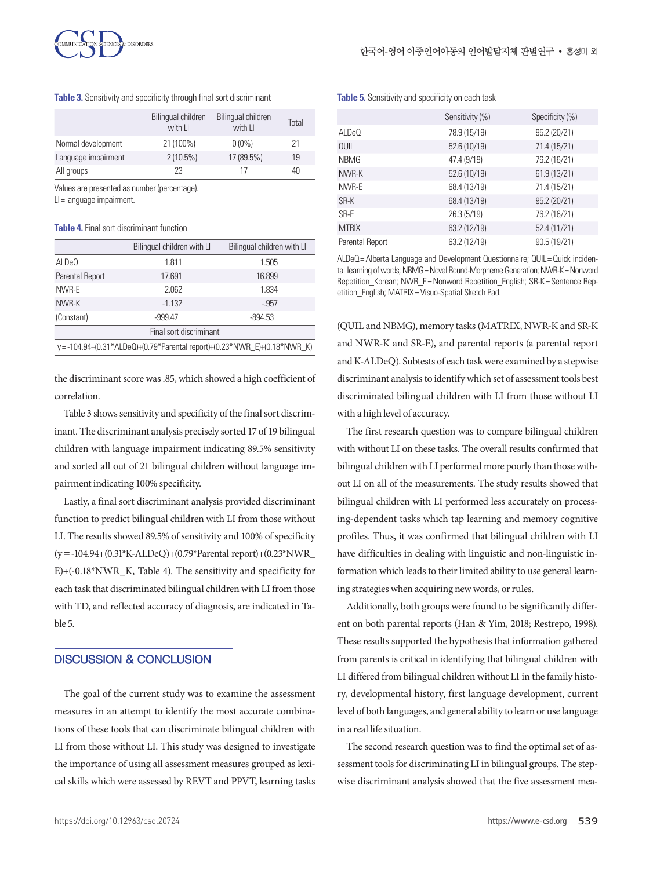

**Table 3.** Sensitivity and specificity through final sort discriminant

|                     | Bilingual children<br>with LI | Bilingual children<br>with LI | Total |
|---------------------|-------------------------------|-------------------------------|-------|
| Normal development  | 21 (100%)                     | $0(0\%)$                      | 21    |
| Language impairment | $2(10.5\%)$                   | 17 (89.5%)                    | 19    |
| All groups          | 23                            | 17                            | 40    |

Values are presented as number (percentage). LI= language impairment.

#### **Table 4.** Final sort discriminant function

|                                                                           | Bilingual children with LI | Bilingual children with LI |  |
|---------------------------------------------------------------------------|----------------------------|----------------------------|--|
| ALDeO                                                                     | 1.811                      | 1.505                      |  |
| Parental Report                                                           | 17.691                     | 16.899                     |  |
| NWR-E                                                                     | 2.062                      | 1.834                      |  |
| NWR-K                                                                     | $-1.132$                   | $-957$                     |  |
| (Constant)                                                                | $-999.47$                  | $-894.53$                  |  |
| Final sort discriminant                                                   |                            |                            |  |
| y = -104.94+(0.31*ALDeQ)+(0.79*Parental report)+(0.23*NWR E)+(0.18*NWR K) |                            |                            |  |

the discriminant score was .85, which showed a high coefficient of correlation.

Table 3 shows sensitivity and specificity of the final sort discriminant. The discriminant analysis precisely sorted 17 of 19 bilingual children with language impairment indicating 89.5% sensitivity and sorted all out of 21 bilingual children without language impairment indicating 100% specificity.

Lastly, a final sort discriminant analysis provided discriminant function to predict bilingual children with LI from those without LI. The results showed 89.5% of sensitivity and 100% of specificity (y=-104.94+(0.31\*K-ALDeQ)+(0.79\*Parental report)+(0.23\*NWR\_ E)+(-0.18\*NWR\_K, Table 4). The sensitivity and specificity for each task that discriminated bilingual children with LI from those with TD, and reflected accuracy of diagnosis, are indicated in Table 5.

### DISCUSSION & CONCLUSION

The goal of the current study was to examine the assessment measures in an attempt to identify the most accurate combinations of these tools that can discriminate bilingual children with LI from those without LI. This study was designed to investigate the importance of using all assessment measures grouped as lexical skills which were assessed by REVT and PPVT, learning tasks

**Table 5.** Sensitivity and specificity on each task

| Sensitivity (%) | Specificity (%) |
|-----------------|-----------------|
| 78.9 (15/19)    | 95.2 (20/21)    |
| 52.6 (10/19)    | 71.4 (15/21)    |
| 47.4 (9/19)     | 76.2 (16/21)    |
| 52.6 (10/19)    | 61.9 (13/21)    |
| 68.4 (13/19)    | 71.4 (15/21)    |
| 68.4 (13/19)    | 95.2 (20/21)    |
| 26.3(5/19)      | 76.2 (16/21)    |
| 63.2 (12/19)    | 52.4 (11/21)    |
| 63.2 (12/19)    | 90.5(19/21)     |
|                 |                 |

ALDeQ = Alberta Language and Development Questionnaire; QUIL = Quick incidental learning of words; NBMG = Novel Bound-Morpheme Generation; NWR-K = Nonword Repetition Korean; NWR\_E= Nonword Repetition\_English; SR-K= Sentence Repetition\_English; MATRIX= Visuo-Spatial Sketch Pad.

(QUIL and NBMG), memory tasks (MATRIX, NWR-K and SR-K and NWR-K and SR-E), and parental reports (a parental report and K-ALDeQ). Subtests of each task were examined by a stepwise discriminant analysis to identify which set of assessment tools best discriminated bilingual children with LI from those without LI with a high level of accuracy.

The first research question was to compare bilingual children with without LI on these tasks. The overall results confirmed that bilingual children with LI performed more poorly than those without LI on all of the measurements. The study results showed that bilingual children with LI performed less accurately on processing-dependent tasks which tap learning and memory cognitive profiles. Thus, it was confirmed that bilingual children with LI have difficulties in dealing with linguistic and non-linguistic information which leads to their limited ability to use general learning strategies when acquiring new words, or rules.

Additionally, both groups were found to be significantly different on both parental reports (Han & Yim, 2018; Restrepo, 1998). These results supported the hypothesis that information gathered from parents is critical in identifying that bilingual children with LI differed from bilingual children without LI in the family history, developmental history, first language development, current level of both languages, and general ability to learn or use language in a real life situation.

The second research question was to find the optimal set of assessment tools for discriminating LI in bilingual groups. The stepwise discriminant analysis showed that the five assessment mea-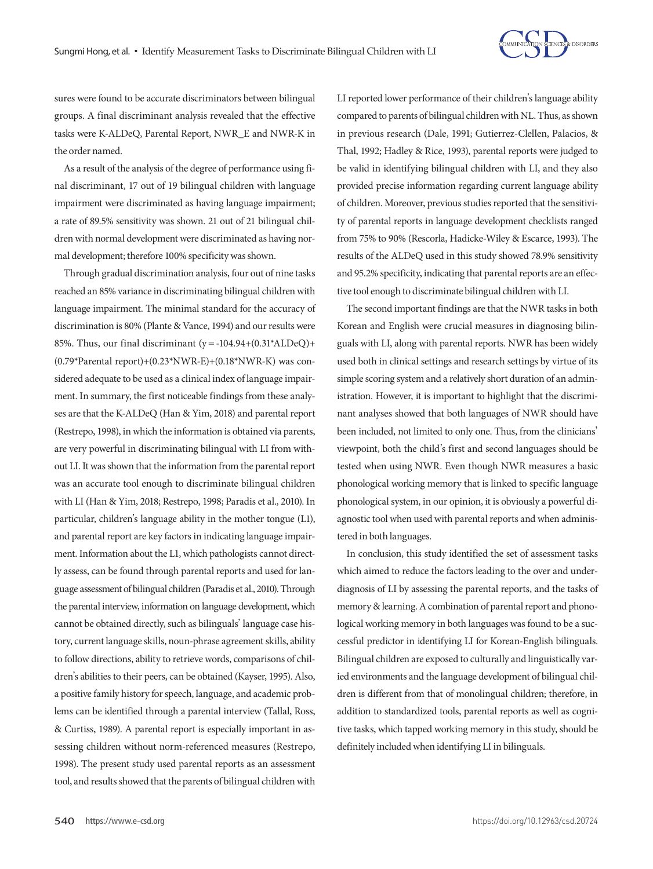

sures were found to be accurate discriminators between bilingual groups. A final discriminant analysis revealed that the effective tasks were K-ALDeQ, Parental Report, NWR\_E and NWR-K in the order named.

As a result of the analysis of the degree of performance using final discriminant, 17 out of 19 bilingual children with language impairment were discriminated as having language impairment; a rate of 89.5% sensitivity was shown. 21 out of 21 bilingual children with normal development were discriminated as having normal development; therefore 100% specificity was shown.

Through gradual discrimination analysis, four out of nine tasks reached an 85% variance in discriminating bilingual children with language impairment. The minimal standard for the accuracy of discrimination is 80% (Plante & Vance, 1994) and our results were 85%. Thus, our final discriminant  $(y = -104.94 + (0.31)$ <sup>\*</sup>ALDeQ $)$ + (0.79\*Parental report)+(0.23\*NWR-E)+(0.18\*NWR-K) was considered adequate to be used as a clinical index of language impairment. In summary, the first noticeable findings from these analyses are that the K-ALDeQ (Han & Yim, 2018) and parental report (Restrepo, 1998), in which the information is obtained via parents, are very powerful in discriminating bilingual with LI from without LI. It was shown that the information from the parental report was an accurate tool enough to discriminate bilingual children with LI (Han & Yim, 2018; Restrepo, 1998; Paradis et al., 2010). In particular, children's language ability in the mother tongue (L1), and parental report are key factors in indicating language impairment. Information about the L1, which pathologists cannot directly assess, can be found through parental reports and used for language assessment of bilingual children (Paradis et al., 2010). Through the parental interview, information on language development, which cannot be obtained directly, such as bilinguals' language case history, current language skills, noun-phrase agreement skills, ability to follow directions, ability to retrieve words, comparisons of children's abilities to their peers, can be obtained (Kayser, 1995). Also, a positive family history for speech, language, and academic problems can be identified through a parental interview (Tallal, Ross, & Curtiss, 1989). A parental report is especially important in assessing children without norm-referenced measures (Restrepo, 1998). The present study used parental reports as an assessment tool, and results showed that the parents of bilingual children with

LI reported lower performance of their children's language ability compared to parents of bilingual children with NL. Thus, as shown in previous research (Dale, 1991; Gutierrez-Clellen, Palacios, & Thal, 1992; Hadley & Rice, 1993), parental reports were judged to be valid in identifying bilingual children with LI, and they also provided precise information regarding current language ability of children. Moreover, previous studies reported that the sensitivity of parental reports in language development checklists ranged from 75% to 90% (Rescorla, Hadicke-Wiley & Escarce, 1993). The results of the ALDeQ used in this study showed 78.9% sensitivity and 95.2% specificity, indicating that parental reports are an effective tool enough to discriminate bilingual children with LI.

The second important findings are that the NWR tasks in both Korean and English were crucial measures in diagnosing bilinguals with LI, along with parental reports. NWR has been widely used both in clinical settings and research settings by virtue of its simple scoring system and a relatively short duration of an administration. However, it is important to highlight that the discriminant analyses showed that both languages of NWR should have been included, not limited to only one. Thus, from the clinicians' viewpoint, both the child's first and second languages should be tested when using NWR. Even though NWR measures a basic phonological working memory that is linked to specific language phonological system, in our opinion, it is obviously a powerful diagnostic tool when used with parental reports and when administered in both languages.

In conclusion, this study identified the set of assessment tasks which aimed to reduce the factors leading to the over and underdiagnosis of LI by assessing the parental reports, and the tasks of memory & learning. A combination of parental report and phonological working memory in both languages was found to be a successful predictor in identifying LI for Korean-English bilinguals. Bilingual children are exposed to culturally and linguistically varied environments and the language development of bilingual children is different from that of monolingual children; therefore, in addition to standardized tools, parental reports as well as cognitive tasks, which tapped working memory in this study, should be definitely included when identifying LI in bilinguals.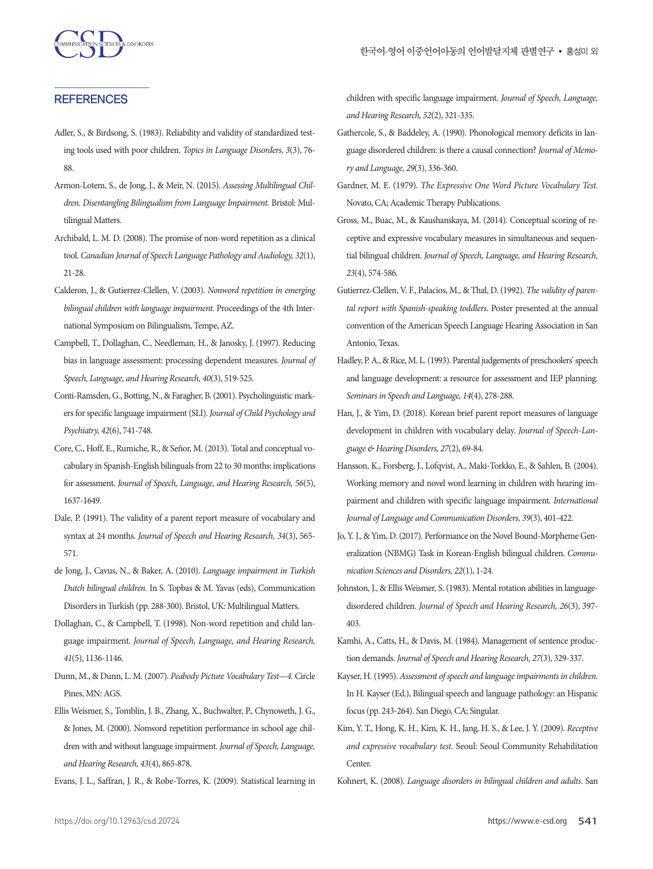#### **REFERENCES**

- Adler, S., & Birdsong, S. (1983). Reliability and validity of standardized testing tools used with poor children. *Topics in Language Disorders, 3*(3), 76- 88.
- Armon-Lotem, S., de Jong, J., & Meir, N. (2015). *Assessing Multilingual Children. Disentangling Bilingualism from Language Impairment.* Bristol: Multilingual Matters.
- Archibald, L. M. D. (2008). The promise of non-word repetition as a clinical tool. *Canadian Journal of Speech Language Pathology and Audiology, 32*(1), 21-28.
- Calderon, J., & Gutierrez-Clellen, V. (2003). *Nonword repetition in emerging bilingual children with language impairment.* Proceedings of the 4th International Symposium on Bilingualism, Tempe, AZ.
- Campbell, T., Dollaghan, C., Needleman, H., & Janosky, J. (1997). Reducing bias in language assessment: processing dependent measures. *Journal of Speech, Language, and Hearing Research, 40*(3), 519-525.
- Conti-Ramsden, G., Botting, N., & Faragher, B. (2001). Psycholinguistic markers for specific language impairment (SLI). *Journal of Child Psychology and Psychiatry, 42*(6), 741-748.
- Core, C., Hoff, E., Rumiche, R., & Señor, M. (2013). Total and conceptual vocabulary in Spanish-English bilinguals from 22 to 30 months: implications for assessment. *Journal of Speech, Language, and Hearing Research, 56*(5), 1637-1649.
- Dale, P. (1991). The validity of a parent report measure of vocabulary and syntax at 24 months. *Journal of Speech and Hearing Research, 34*(3), 565- 571.
- de Jong, J., Cavus, N., & Baker, A. (2010). *Language impairment in Turkish Dutch bilingual children.* In S. Topbas & M. Yavas (eds), Communication Disorders in Turkish (pp. 288-300). Bristol, UK: Multilingual Matters.
- Dollaghan, C., & Campbell, T. (1998). Non-word repetition and child language impairment. *Journal of Speech, Language, and Hearing Research, 41*(5), 1136-1146.
- Dunn, M., & Dunn, L. M. (2007). *Peabody Picture Vocabulary Test—4.* Circle Pines, MN: AGS.
- Ellis Weismer, S., Tomblin, J. B., Zhang, X., Buchwalter, P., Chynoweth, J. G., & Jones, M. (2000). Nonword repetition performance in school age children with and without language impairment. *Journal of Speech, Language, and Hearing Research, 43*(4), 865-878.
- Evans, J. L., Saffran, J. R., & Robe-Torres, K. (2009). Statistical learning in

children with specific language impairment. *Journal of Speech, Language, and Hearing Research, 52*(2), 321-335.

- Gathercole, S., & Baddeley, A. (1990). Phonological memory deficits in language disordered children: is there a causal connection? *Journal of Memory and Language, 29*(3), 336-360.
- Gardner, M. E. (1979). *The Expressive One Word Picture Vocabulary Test.*  Novato, CA; Academic Therapy Publications.
- Gross, M., Buac, M., & Kaushanskaya, M. (2014). Conceptual scoring of receptive and expressive vocabulary measures in simultaneous and sequential bilingual children. *Journal of Speech, Language, and Hearing Research, 23*(4), 574-586.
- Gutierrez-Clellen, V. F., Palacios, M., & Thal, D. (1992). *The validity of parental report with Spanish-speaking toddlers.* Poster presented at the annual convention of the American Speech Language Hearing Association in San Antonio, Texas.
- Hadley, P. A., & Rice, M. L. (1993). Parental judgements of preschoolers' speech and language development: a resource for assessment and IEP planning. *Seminars in Speech and Language, 14*(4), 278-288.
- Han, J., & Yim, D. (2018). Korean brief parent report measures of language development in children with vocabulary delay. *Journal of Speech-Language & Hearing Disorders, 27*(2), 69-84.
- Hansson, K., Forsberg, J., Lofqvist, A., Maki-Torkko, E., & Sahlen, B. (2004). Working memory and novel word learning in children with hearing impairment and children with specific language impairment. *International Journal of Language and Communication Disorders, 39*(3), 401-422.
- Jo, Y. J., & Yim, D. (2017). Performance on the Novel Bound-Morpheme Generalization (NBMG) Task in Korean-English bilingual children. *Communication Sciences and Disorders, 22*(1), 1-24.
- Johnston, J., & Ellis Weismer, S. (1983). Mental rotation abilities in languagedisordered children. *Journal of Speech and Hearing Research, 26*(3), 397- 403.
- Kamhi, A., Catts, H., & Davis, M. (1984). Management of sentence production demands. *Journal of Speech and Hearing Research, 27*(3), 329-337.
- Kayser, H. (1995). *Assessment of speech and language impairments in children.*  In H. Kayser (Ed.), Bilingual speech and language pathology: an Hispanic focus (pp. 243-264). San Diego, CA; Singular.
- Kim, Y. T., Hong, K. H., Kim, K. H., Jang, H. S., & Lee, J. Y. (2009). *Receptive and expressive vocabulary test.* Seoul: Seoul Community Rehabilitation Center.
- Kohnert, K. (2008). *Language disorders in bilingual children and adults*. San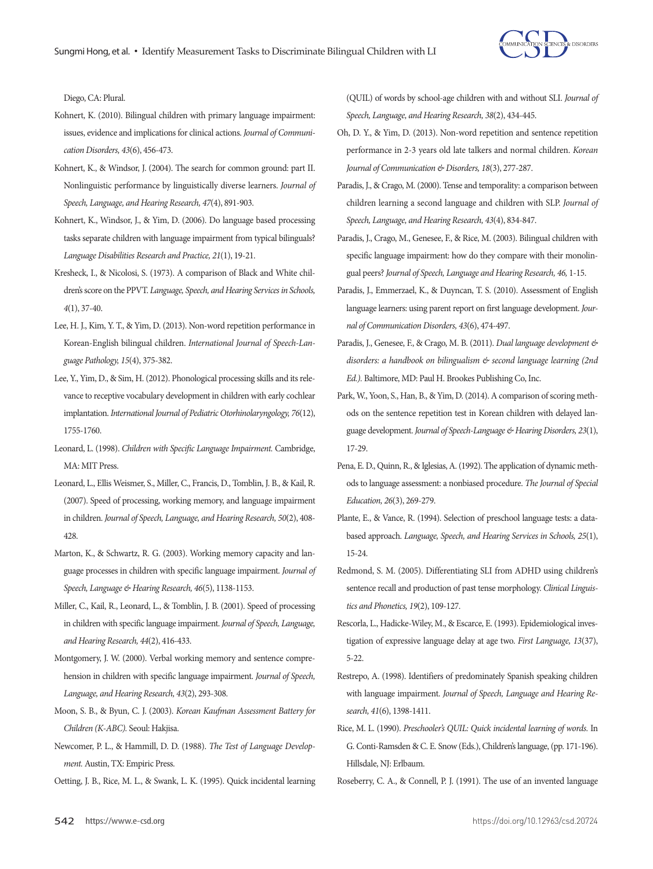Diego, CA: Plural.

- Kohnert, K. (2010). Bilingual children with primary language impairment: issues, evidence and implications for clinical actions. *Journal of Communication Disorders, 43*(6), 456-473.
- Kohnert, K., & Windsor, J. (2004). The search for common ground: part II. Nonlinguistic performance by linguistically diverse learners. *Journal of Speech, Language, and Hearing Research, 47*(4), 891-903.
- Kohnert, K., Windsor, J., & Yim, D. (2006). Do language based processing tasks separate children with language impairment from typical bilinguals? *Language Disabilities Research and Practice, 21*(1), 19-21.
- Kresheck, I., & Nicolosi, S. (1973). A comparison of Black and White children's score on the PPVT. *Language, Speech, and Hearing Services in Schools, 4*(1), 37-40.
- Lee, H. J., Kim, Y. T., & Yim, D. (2013). Non-word repetition performance in Korean-English bilingual children. *International Journal of Speech-Language Pathology, 15*(4), 375-382.
- Lee, Y., Yim, D., & Sim, H. (2012). Phonological processing skills and its relevance to receptive vocabulary development in children with early cochlear implantation. *International Journal of Pediatric Otorhinolaryngology, 76*(12), 1755-1760.
- Leonard, L. (1998). *Children with Specific Language Impairment.* Cambridge, MA: MIT Press.
- Leonard, L., Ellis Weismer, S., Miller, C., Francis, D., Tomblin, J. B., & Kail, R. (2007). Speed of processing, working memory, and language impairment in children. *Journal of Speech, Language, and Hearing Research, 50*(2), 408- 428.
- Marton, K., & Schwartz, R. G. (2003). Working memory capacity and language processes in children with specific language impairment. *Journal of Speech, Language & Hearing Research, 46*(5), 1138-1153.
- Miller, C., Kail, R., Leonard, L., & Tomblin, J. B. (2001). Speed of processing in children with specific language impairment. *Journal of Speech, Language, and Hearing Research, 44*(2), 416-433.
- Montgomery, J. W. (2000). Verbal working memory and sentence comprehension in children with specific language impairment. *Journal of Speech, Language, and Hearing Research, 43*(2), 293-308.
- Moon, S. B., & Byun, C. J. (2003). *Korean Kaufman Assessment Battery for Children (K-ABC).* Seoul: Hakjisa.
- Newcomer, P. L., & Hammill, D. D. (1988). *The Test of Language Development.* Austin, TX: Empiric Press.
- Oetting, J. B., Rice, M. L., & Swank, L. K. (1995). Quick incidental learning

(QUIL) of words by school-age children with and without SLI. *Journal of Speech, Language, and Hearing Research, 38*(2), 434-445.

- Oh, D. Y., & Yim, D. (2013). Non-word repetition and sentence repetition performance in 2-3 years old late talkers and normal children. *Korean Journal of Communication & Disorders, 18*(3), 277-287.
- Paradis, J., & Crago, M. (2000). Tense and temporality: a comparison between children learning a second language and children with SLP. *Journal of Speech, Language, and Hearing Research, 43*(4), 834-847.
- Paradis, J., Crago, M., Genesee, F., & Rice, M. (2003). Bilingual children with specific language impairment: how do they compare with their monolingual peers? *Journal of Speech, Language and Hearing Research, 46,* 1-15.
- Paradis, J., Emmerzael, K., & Duyncan, T. S. (2010). Assessment of English language learners: using parent report on first language development. *Journal of Communication Disorders, 43*(6), 474-497.
- Paradis, J., Genesee, F., & Crago, M. B. (2011). *Dual language development & disorders: a handbook on bilingualism & second language learning (2nd Ed.).* Baltimore, MD: Paul H. Brookes Publishing Co, Inc.
- Park, W., Yoon, S., Han, B., & Yim, D. (2014). A comparison of scoring methods on the sentence repetition test in Korean children with delayed language development. *Journal of Speech-Language & Hearing Disorders, 23*(1), 17-29.
- Pena, E. D., Quinn, R., & Iglesias, A. (1992). The application of dynamic methods to language assessment: a nonbiased procedure. *The Journal of Special Education, 26*(3), 269-279.
- Plante, E., & Vance, R. (1994). Selection of preschool language tests: a databased approach. *Language, Speech, and Hearing Services in Schools, 25*(1), 15-24.
- Redmond, S. M. (2005). Differentiating SLI from ADHD using children's sentence recall and production of past tense morphology. *Clinical Linguistics and Phonetics, 19*(2), 109-127.
- Rescorla, L., Hadicke-Wiley, M., & Escarce, E. (1993). Epidemiological investigation of expressive language delay at age two. *First Language, 13*(37), 5-22.
- Restrepo, A. (1998). Identifiers of predominately Spanish speaking children with language impairment. *Journal of Speech, Language and Hearing Research, 41*(6), 1398-1411.
- Rice, M. L. (1990). *Preschooler's QUIL: Quick incidental learning of words.* In G. Conti-Ramsden & C. E. Snow (Eds.), Children's language, (pp. 171-196). Hillsdale, NJ: Erlbaum.
- Roseberry, C. A., & Connell, P. J. (1991). The use of an invented language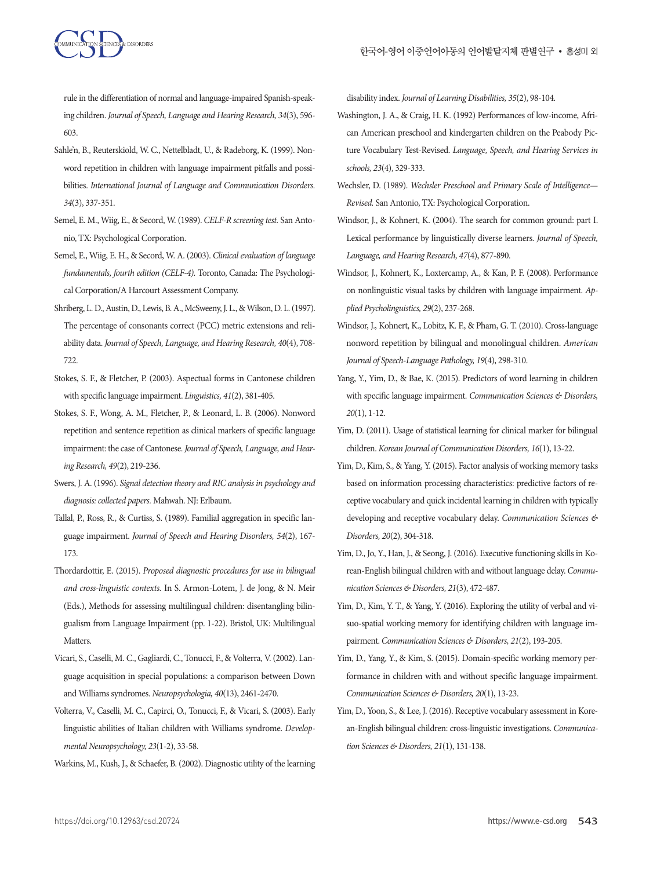

rule in the differentiation of normal and language-impaired Spanish-speaking children. *Journal of Speech, Language and Hearing Research, 34*(3), 596- 603.

- Sahle'n, B., Reuterskiold, W. C., Nettelbladt, U., & Radeborg, K. (1999). Nonword repetition in children with language impairment pitfalls and possibilities. *International Journal of Language and Communication Disorders. 34*(3), 337-351.
- Semel, E. M., Wiig, E., & Secord, W. (1989). *CELF-R screening test.* San Antonio, TX: Psychological Corporation.
- Semel, E., Wiig, E. H., & Secord, W. A. (2003). *Clinical evaluation of language fundamentals, fourth edition (CELF-4).* Toronto, Canada: The Psychological Corporation/A Harcourt Assessment Company.
- Shriberg, L. D., Austin, D., Lewis, B. A., McSweeny, J. L., & Wilson, D. L. (1997). The percentage of consonants correct (PCC) metric extensions and reliability data. *Journal of Speech, Language, and Hearing Research, 40*(4), 708- 722
- Stokes, S. F., & Fletcher, P. (2003). Aspectual forms in Cantonese children with specific language impairment. *Linguistics, 41*(2), 381-405.
- Stokes, S. F., Wong, A. M., Fletcher, P., & Leonard, L. B. (2006). Nonword repetition and sentence repetition as clinical markers of specific language impairment: the case of Cantonese. *Journal of Speech, Language, and Hearing Research, 49*(2), 219-236.
- Swers, J. A. (1996). *Signal detection theory and RIC analysis in psychology and diagnosis: collected papers.* Mahwah. NJ: Erlbaum.
- Tallal, P., Ross, R., & Curtiss, S. (1989). Familial aggregation in specific language impairment. *Journal of Speech and Hearing Disorders, 54*(2), 167- 173.
- Thordardottir, E. (2015). *Proposed diagnostic procedures for use in bilingual and cross-linguistic contexts.* In S. Armon-Lotem, J. de Jong, & N. Meir (Eds.), Methods for assessing multilingual children: disentangling bilingualism from Language Impairment (pp. 1-22). Bristol, UK: Multilingual Matters.
- Vicari, S., Caselli, M. C., Gagliardi, C., Tonucci, F., & Volterra, V. (2002). Language acquisition in special populations: a comparison between Down and Williams syndromes. *Neuropsychologia, 40*(13), 2461-2470.
- Volterra, V., Caselli, M. C., Capirci, O., Tonucci, F., & Vicari, S. (2003). Early linguistic abilities of Italian children with Williams syndrome. *Developmental Neuropsychology, 23*(1-2), 33-58.
- Warkins, M., Kush, J., & Schaefer, B. (2002). Diagnostic utility of the learning

disability index. *Journal of Learning Disabilities, 35*(2), 98-104.

- Washington, J. A., & Craig, H. K. (1992) Performances of low-income, African American preschool and kindergarten children on the Peabody Picture Vocabulary Test-Revised. *Language, Speech, and Hearing Services in schools, 23*(4), 329-333.
- Wechsler, D. (1989). *Wechsler Preschool and Primary Scale of Intelligence— Revised.* San Antonio, TX: Psychological Corporation.
- Windsor, J., & Kohnert, K. (2004). The search for common ground: part I. Lexical performance by linguistically diverse learners. *Journal of Speech, Language, and Hearing Research, 47*(4), 877-890.
- Windsor, J., Kohnert, K., Loxtercamp, A., & Kan, P. F. (2008). Performance on nonlinguistic visual tasks by children with language impairment. *Applied Psycholinguistics, 29*(2), 237-268.
- Windsor, J., Kohnert, K., Lobitz, K. F., & Pham, G. T. (2010). Cross-language nonword repetition by bilingual and monolingual children. *American Journal of Speech-Language Pathology, 19*(4), 298-310.
- Yang, Y., Yim, D., & Bae, K. (2015). Predictors of word learning in children with specific language impairment. *Communication Sciences & Disorders, 20*(1), 1-12.
- Yim, D. (2011). Usage of statistical learning for clinical marker for bilingual children. *Korean Journal of Communication Disorders, 16*(1), 13-22.
- Yim, D., Kim, S., & Yang, Y. (2015). Factor analysis of working memory tasks based on information processing characteristics: predictive factors of receptive vocabulary and quick incidental learning in children with typically developing and receptive vocabulary delay. *Communication Sciences & Disorders, 20*(2), 304-318.
- Yim, D., Jo, Y., Han, J., & Seong, J. (2016). Executive functioning skills in Korean-English bilingual children with and without language delay. *Communication Sciences & Disorders, 21*(3), 472-487.
- Yim, D., Kim, Y. T., & Yang, Y. (2016). Exploring the utility of verbal and visuo-spatial working memory for identifying children with language impairment. *Communication Sciences & Disorders, 21*(2), 193-205.
- Yim, D., Yang, Y., & Kim, S. (2015). Domain-specific working memory performance in children with and without specific language impairment. *Communication Sciences & Disorders, 20*(1), 13-23.
- Yim, D., Yoon, S., & Lee, J. (2016). Receptive vocabulary assessment in Korean-English bilingual children: cross-linguistic investigations. *Communication Sciences & Disorders, 21*(1), 131-138.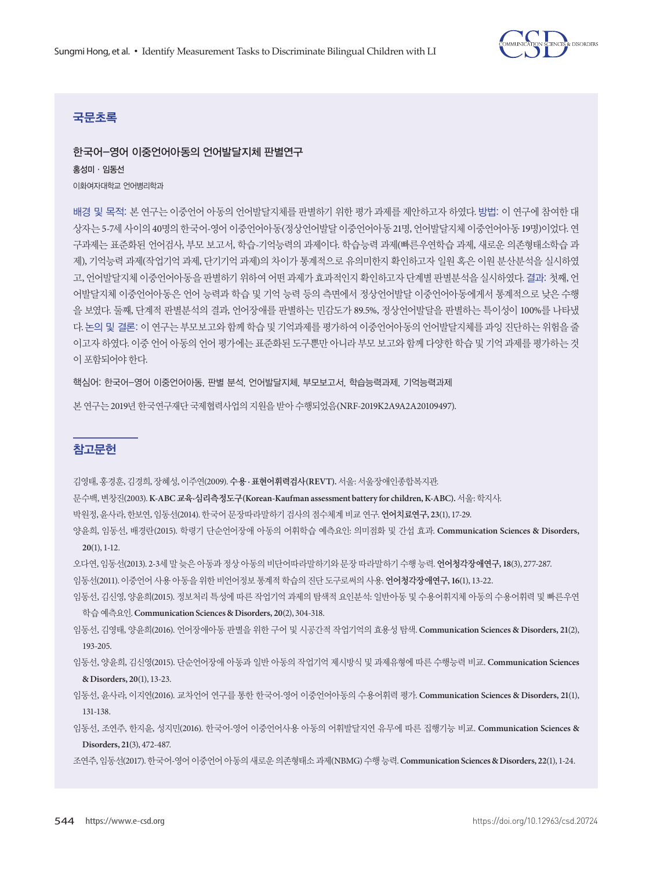

# 국문초록

## 한국어-영어 이중언어아동의 언어발달지체 판별연구

홍성미·임동선 이화여자대학교 언어병리학과

배경 및 목적: 본 연구는 이중언어 아동의 언어발달지체를 판별하기 위한 평가 과제를 제안하고자 하였다. 방법: 이 연구에 참여한 대 상자는 5-7세 사이의 40명의 한국어-영어 이중언어아동(정상언어발달 이중언어아동 21명, 언어발달지체 이중언어아동 19명)이었다. 연 구과제는 표준화된 언어검사, 부모 보고서, 학습-기억능력의 과제이다. 학습능력 과제(빠른우연학습 과제, 새로운 의존형태소학습 과 제), 기억능력 과제(작업기억 과제, 단기기억 과제)의 차이가 통계적으로 유의미한지 확인하고자 일원 혹은 이원 분산분석을 실시하였 고, 언어발달지체 이중언어아동을 판별하기 위하여 어떤 과제가 효과적인지 확인하고자 단계별 판별분석을 실시하였다. 결과: 첫째, 언 어발달지체 이중언어아동은 언어 능력과 학습 및 기억 능력 등의 측면에서 정상언어발달 이중언어아동에게서 통계적으로 낮은 수행 을 보였다. 둘째, 단계적 판별분석의 결과, 언어장애를 판별하는 민감도가 89.5%, 정상언어발달을 판별하는 특이성이 100%를 나타냈 다. 논의 및 결론: 이 연구는 부모보고와 함께 학습 및 기억과제를 평가하여 이중언어아동의 언어발달지체를 과잉 진단하는 위험을 줄 이고자 하였다. 이중 언어 아동의 언어 평가에는 표준화된 도구뿐만 아니라 부모 보고와 함께 다양한 학습 및 기억 과제를 평가하는 것 이포함되어야한다.

핵심어: 한국어-영어 이중언어아동, 판별 분석, 언어발달지체, 부모보고서, 학습능력과제, 기억능력과제

본 연구는 2019년 한국연구재단 국제협력사업의 지원을 받아 수행되었음(NRF-2019K2A9A2A20109497).

## 참고문헌

김영태, 홍경훈, 김경희, 장혜성, 이주연(2009). 수용 **·** 표현어휘력검사**(REVT).** 서울: 서울장애인종합복지관.

문수백, 변창진(2003). **K-ABC** 교육**·**심리측정도구**(Korean-Kaufman assessment battery for children, K-ABC).** 서울: 학지사.

- 박원정, 윤사라, 한보연, 임동선(2014). 한국어문장따라말하기검사의점수체계비교연구. 언어치료연구**, 23**(1), 17-29.
- 양윤희, 임동선, 배경란(2015). 학령기 단순언어장애 아동의 어휘학습 예측요인: 의미점화 및 간섭 효과. **Communication Sciences & Disorders, 20**(1), 1-12.
- 오다연, 임동선(2013). 2-3세말늦은아동과정상아동의비단어따라말하기와문장따라말하기수행능력. 언어청각장애연구**, 18**(3), 277-287.
- 임동선(2011). 이중언어사용아동을위한비언어정보통계적학습의진단도구로써의사용. 언어청각장애연구**, 16**(1), 13-22.
- 임동선, 김신영, 양윤희(2015). 정보처리 특성에 따른 작업기억 과제의 탐색적 요인분석: 일반아동 및 수용어휘지체 아동의 수용어휘력 및 빠른우연 학습예측요인. **Communication Sciences & Disorders, 20**(2), 304-318.
- 임동선, 김영태, 양윤희(2016). 언어장애아동 판별을 위한 구어 및 시공간적 작업기억의 효용성 탐색. **Communication Sciences & Disorders, 21**(2), 193-205.

임동선, 양윤희, 김신영(2015). 단순언어장애 아동과 일반 아동의 작업기억 제시방식 및 과제유형에 따른 수행능력 비교. **Communication Sciences & Disorders, 20**(1), 13-23.

- 임동선, 윤사라, 이지연(2016). 교차언어 연구를 통한 한국어-영어 이중언어아동의 수용어휘력 평가. **Communication Sciences & Disorders, 21**(1), 131-138.
- 임동선, 조연주, 한지윤, 성지민(2016). 한국어-영어 이중언어사용 아동의 어휘발달지연 유무에 따른 집행기능 비교. **Communication Sciences & Disorders, 21**(3), 472-487.
- 조연주, 임동선(2017). 한국어-영어이중언어아동의새로운의존형태소과제(NBMG) 수행능력. **Communication Sciences & Disorders, 22**(1), 1-24.